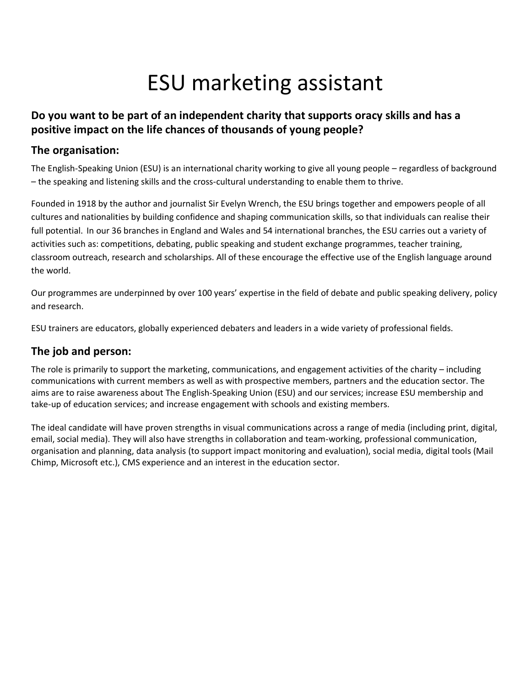# ESU marketing assistant

## **Do you want to be part of an independent charity that supports oracy skills and has a positive impact on the life chances of thousands of young people?**

### **The organisation:**

The English-Speaking Union (ESU) is an international charity working to give all young people – regardless of background – the speaking and listening skills and the cross-cultural understanding to enable them to thrive.

Founded in 1918 by the author and journalist Sir Evelyn Wrench, the ESU brings together and empowers people of all cultures and nationalities by building confidence and shaping communication skills, so that individuals can realise their full potential. In our 36 branches in England and Wales and 54 international branches, the ESU carries out a variety of activities such as: competitions, debating, public speaking and student exchange programmes, teacher training, classroom outreach, research and scholarships. All of these encourage the effective use of the English language around the world.

Our programmes are underpinned by over 100 years' expertise in the field of debate and public speaking delivery, policy and research.

ESU trainers are educators, globally experienced debaters and leaders in a wide variety of professional fields.

## **The job and person:**

The role is primarily to support the marketing, communications, and engagement activities of the charity – including communications with current members as well as with prospective members, partners and the education sector. The aims are to raise awareness about The English-Speaking Union (ESU) and our services; increase ESU membership and take-up of education services; and increase engagement with schools and existing members.

The ideal candidate will have proven strengths in visual communications across a range of media (including print, digital, email, social media). They will also have strengths in collaboration and team-working, professional communication, organisation and planning, data analysis (to support impact monitoring and evaluation), social media, digital tools (Mail Chimp, Microsoft etc.), CMS experience and an interest in the education sector.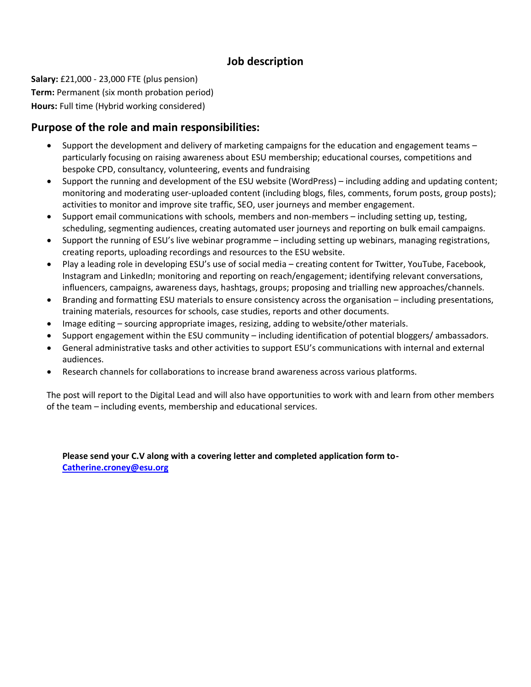# **Job description**

**Salary:** £21,000 - 23,000 FTE (plus pension) **Term:** Permanent (six month probation period) **Hours:** Full time (Hybrid working considered)

#### **Purpose of the role and main responsibilities:**

- Support the development and delivery of marketing campaigns for the education and engagement teams particularly focusing on raising awareness about ESU membership; educational courses, competitions and bespoke CPD, consultancy, volunteering, events and fundraising
- Support the running and development of the ESU website (WordPress) including adding and updating content; monitoring and moderating user-uploaded content (including blogs, files, comments, forum posts, group posts); activities to monitor and improve site traffic, SEO, user journeys and member engagement.
- Support email communications with schools, members and non-members including setting up, testing, scheduling, segmenting audiences, creating automated user journeys and reporting on bulk email campaigns.
- Support the running of ESU's live webinar programme including setting up webinars, managing registrations, creating reports, uploading recordings and resources to the ESU website.
- Play a leading role in developing ESU's use of social media creating content for Twitter, YouTube, Facebook, Instagram and LinkedIn; monitoring and reporting on reach/engagement; identifying relevant conversations, influencers, campaigns, awareness days, hashtags, groups; proposing and trialling new approaches/channels.
- Branding and formatting ESU materials to ensure consistency across the organisation including presentations, training materials, resources for schools, case studies, reports and other documents.
- Image editing sourcing appropriate images, resizing, adding to website/other materials.
- Support engagement within the ESU community including identification of potential bloggers/ ambassadors.
- General administrative tasks and other activities to support ESU's communications with internal and external audiences.
- Research channels for collaborations to increase brand awareness across various platforms.

The post will report to the Digital Lead and will also have opportunities to work with and learn from other members of the team – including events, membership and educational services.

**Please send your C.V along with a covering letter and completed application form to-[Catherine.croney@esu.org](mailto:Catherine.croney@esu.org)**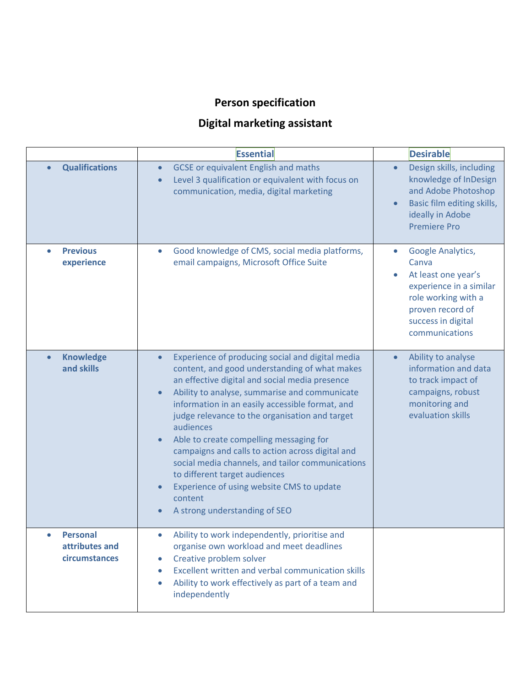# **Person specification**

# **Digital marketing assistant**

|                                                    | <b>Essential</b>                                                                                                                                                                                                                                                                                                                                                                                                                                                                                                                                                                                                 | <b>Desirable</b>                                                                                                                                                |
|----------------------------------------------------|------------------------------------------------------------------------------------------------------------------------------------------------------------------------------------------------------------------------------------------------------------------------------------------------------------------------------------------------------------------------------------------------------------------------------------------------------------------------------------------------------------------------------------------------------------------------------------------------------------------|-----------------------------------------------------------------------------------------------------------------------------------------------------------------|
| <b>Qualifications</b>                              | <b>GCSE</b> or equivalent English and maths<br>$\bullet$<br>Level 3 qualification or equivalent with focus on<br>$\bullet$<br>communication, media, digital marketing                                                                                                                                                                                                                                                                                                                                                                                                                                            | Design skills, including<br>knowledge of InDesign<br>and Adobe Photoshop<br>Basic film editing skills,<br>ideally in Adobe<br><b>Premiere Pro</b>               |
| <b>Previous</b><br>experience                      | Good knowledge of CMS, social media platforms,<br>email campaigns, Microsoft Office Suite                                                                                                                                                                                                                                                                                                                                                                                                                                                                                                                        | Google Analytics,<br>Canva<br>At least one year's<br>experience in a similar<br>role working with a<br>proven record of<br>success in digital<br>communications |
| <b>Knowledge</b><br>$\bullet$<br>and skills        | Experience of producing social and digital media<br>$\bullet$<br>content, and good understanding of what makes<br>an effective digital and social media presence<br>Ability to analyse, summarise and communicate<br>information in an easily accessible format, and<br>judge relevance to the organisation and target<br>audiences<br>Able to create compelling messaging for<br>campaigns and calls to action across digital and<br>social media channels, and tailor communications<br>to different target audiences<br>Experience of using website CMS to update<br>content<br>A strong understanding of SEO | Ability to analyse<br>information and data<br>to track impact of<br>campaigns, robust<br>monitoring and<br>evaluation skills                                    |
| <b>Personal</b><br>attributes and<br>circumstances | Ability to work independently, prioritise and<br>organise own workload and meet deadlines<br>Creative problem solver<br>$\bullet$<br>Excellent written and verbal communication skills<br>Ability to work effectively as part of a team and<br>$\bullet$<br>independently                                                                                                                                                                                                                                                                                                                                        |                                                                                                                                                                 |